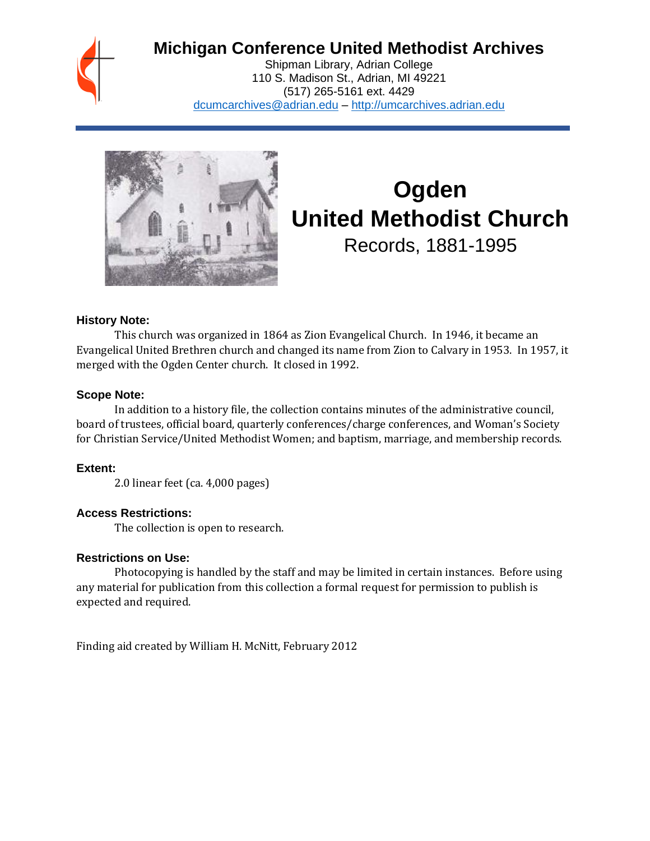

# **Michigan Conference United Methodist Archives**

Shipman Library, Adrian College 110 S. Madison St., Adrian, MI 49221 (517) 265-5161 ext. 4429 [dcumcarchives@adrian.edu](mailto:dcumcarchives@adrian.edu) – [http://umcarchives.adrian.edu](http://umcarchives.adrian.edu/)



# **Ogden United Methodist Church** Records, 1881-1995

**History Note:**

This church was organized in 1864 as Zion Evangelical Church. In 1946, it became an Evangelical United Brethren church and changed its name from Zion to Calvary in 1953. In 1957, it merged with the Ogden Center church. It closed in 1992.

#### **Scope Note:**

In addition to a history file, the collection contains minutes of the administrative council, board of trustees, official board, quarterly conferences/charge conferences, and Woman's Society for Christian Service/United Methodist Women; and baptism, marriage, and membership records.

#### **Extent:**

2.0 linear feet (ca. 4,000 pages)

#### **Access Restrictions:**

The collection is open to research.

#### **Restrictions on Use:**

Photocopying is handled by the staff and may be limited in certain instances. Before using any material for publication from this collection a formal request for permission to publish is expected and required.

Finding aid created by William H. McNitt, February 2012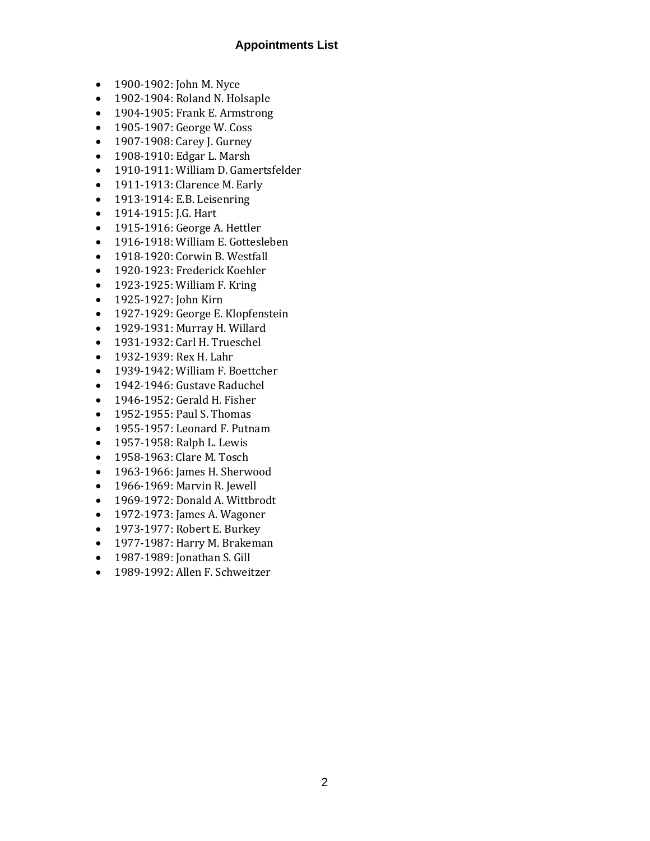## **Appointments List**

- 1900-1902: John M. Nyce
- 1902-1904: Roland N. Holsaple
- 1904-1905: Frank E. Armstrong
- 1905-1907: George W. Coss
- 1907-1908: Carey J. Gurney
- 1908-1910: Edgar L. Marsh
- 1910-1911: William D. Gamertsfelder
- 1911-1913: Clarence M. Early
- 1913-1914: E.B. Leisenring
- 1914-1915: J.G. Hart
- 1915-1916: George A. Hettler
- 1916-1918: William E. Gottesleben
- 1918-1920: Corwin B. Westfall
- 1920-1923: Frederick Koehler
- 1923-1925: William F. Kring
- 1925-1927: John Kirn
- 1927-1929: George E. Klopfenstein
- 1929-1931: Murray H. Willard
- 1931-1932: Carl H. Trueschel
- 1932-1939: Rex H. Lahr
- 1939-1942: William F. Boettcher
- 1942-1946: Gustave Raduchel
- 1946-1952: Gerald H. Fisher
- 1952-1955: Paul S. Thomas
- 1955-1957: Leonard F. Putnam
- 1957-1958: Ralph L. Lewis
- 1958-1963: Clare M. Tosch
- 1963-1966: James H. Sherwood
- 1966-1969: Marvin R. Jewell
- 1969-1972: Donald A. Wittbrodt
- 1972-1973: James A. Wagoner
- 1973-1977: Robert E. Burkey
- 1977-1987: Harry M. Brakeman
- 1987-1989: Jonathan S. Gill
- 1989-1992: Allen F. Schweitzer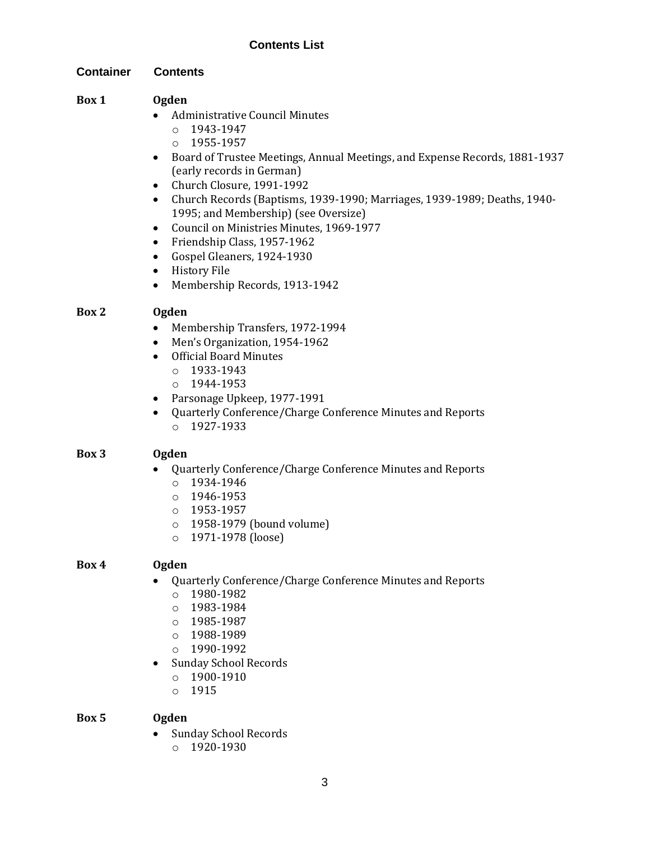## **Contents List**

**Container Contents**

#### **Box 1 Ogden**

- Administrative Council Minutes
	- o 1943-1947
	- o 1955-1957
- Board of Trustee Meetings, Annual Meetings, and Expense Records, 1881-1937 (early records in German)
- Church Closure, 1991-1992
- Church Records (Baptisms, 1939-1990; Marriages, 1939-1989; Deaths, 1940- 1995; and Membership) (see Oversize)
- Council on Ministries Minutes, 1969-1977
- Friendship Class, 1957-1962
- Gospel Gleaners, 1924-1930
- History File
- Membership Records, 1913-1942

#### **Box 2 Ogden**

- Membership Transfers, 1972-1994
- Men's Organization, 1954-1962
- Official Board Minutes
	- $o$  1933-1943
	- o 1944-1953
- Parsonage Upkeep, 1977-1991
- Quarterly Conference/Charge Conference Minutes and Reports o 1927-1933

#### **Box 3 Ogden**

- Quarterly Conference/Charge Conference Minutes and Reports
	- o 1934-1946
	- $o$  1946-1953
	- $o$  1953-1957
	- o 1958-1979 (bound volume)
	- o 1971-1978 (loose)

#### **Box 4 Ogden**

- Quarterly Conference/Charge Conference Minutes and Reports
	- o 1980-1982
	- o 1983-1984
	- o 1985-1987
	- o 1988-1989
	- o 1990-1992
- Sunday School Records
	- o 1900-1910
	- o 1915

#### **Box 5 Ogden**

• Sunday School Records o 1920-1930